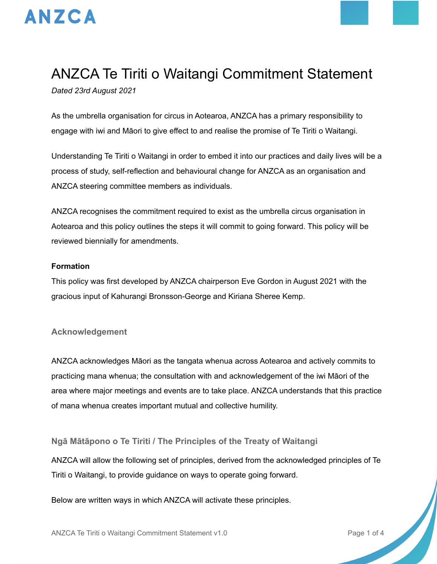

# ANZCA Te Tiriti o Waitangi Commitment Statement

*Dated 23rd August 2021*

As the umbrella organisation for circus in Aotearoa, ANZCA has a primary responsibility to engage with iwi and Māori to give effect to and realise the promise of Te Tiriti o Waitangi.

Understanding Te Tiriti o Waitangi in order to embed it into our practices and daily lives will be a process of study, self-reflection and behavioural change for ANZCA as an organisation and ANZCA steering committee members as individuals.

ANZCA recognises the commitment required to exist as the umbrella circus organisation in Aotearoa and this policy outlines the steps it will commit to going forward. This policy will be reviewed biennially for amendments.

## **Formation**

This policy was first developed by ANZCA chairperson Eve Gordon in August 2021 with the gracious input of Kahurangi Bronsson-George and Kiriana Sheree Kemp.

## **Acknowledgement**

ANZCA acknowledges Māori as the tangata whenua across Aotearoa and actively commits to practicing mana whenua; the consultation with and acknowledgement of the iwi Māori of the area where major meetings and events are to take place. ANZCA understands that this practice of mana whenua creates important mutual and collective humility.

## **Ngā Mātāpono o Te Tiriti / The Principles of the Treaty of Waitangi**

ANZCA will allow the following set of principles, derived from the acknowledged principles of Te Tiriti o Waitangi, to provide guidance on ways to operate going forward.

Below are written ways in which ANZCA will activate these principles.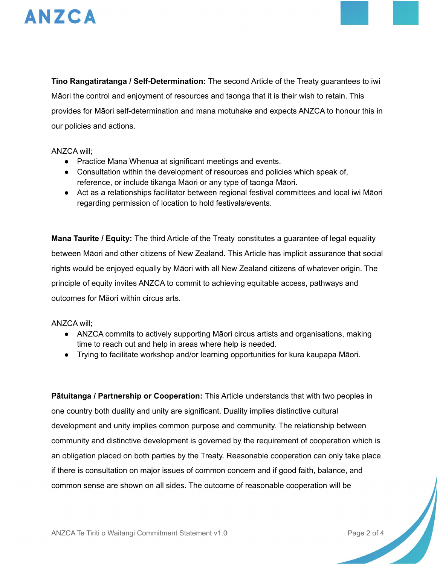

**Tino Rangatiratanga / Self-Determination:** The second Article of the Treaty guarantees to iwi Māori the control and enjoyment of resources and taonga that it is their wish to retain. This provides for Māori self-determination and mana motuhake and expects ANZCA to honour this in our policies and actions.

#### ANZCA will;

- Practice Mana Whenua at significant meetings and events.
- Consultation within the development of resources and policies which speak of, reference, or include tikanga Māori or any type of taonga Māori.
- Act as a relationships facilitator between regional festival committees and local iwi Māori regarding permission of location to hold festivals/events.

**Mana Taurite / Equity:** The third Article of the Treaty constitutes a guarantee of legal equality between Māori and other citizens of New Zealand. This Article has implicit assurance that social rights would be enjoyed equally by Māori with all New Zealand citizens of whatever origin. The principle of equity invites ANZCA to commit to achieving equitable access, pathways and outcomes for Māori within circus arts.

## ANZCA will;

- ANZCA commits to actively supporting Māori circus artists and organisations, making time to reach out and help in areas where help is needed.
- Trying to facilitate workshop and/or learning opportunities for kura kaupapa Māori.

**Pātuitanga / Partnership or Cooperation:** This Article understands that with two peoples in one country both duality and unity are significant. Duality implies distinctive cultural development and unity implies common purpose and community. The relationship between community and distinctive development is governed by the requirement of cooperation which is an obligation placed on both parties by the Treaty. Reasonable cooperation can only take place if there is consultation on major issues of common concern and if good faith, balance, and common sense are shown on all sides. The outcome of reasonable cooperation will be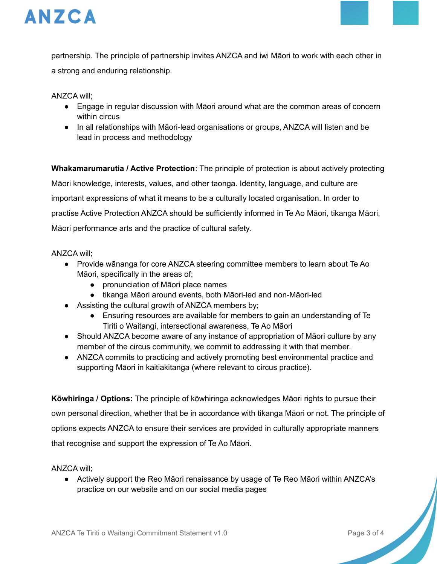

partnership. The principle of partnership invites ANZCA and iwi Māori to work with each other in a strong and enduring relationship.

ANZCA will;

- Engage in regular discussion with Māori around what are the common areas of concern within circus
- In all relationships with Māori-lead organisations or groups, ANZCA will listen and be lead in process and methodology

**Whakamarumarutia / Active Protection**: The principle of protection is about actively protecting Māori knowledge, interests, values, and other taonga. Identity, language, and culture are important expressions of what it means to be a culturally located organisation. In order to practise Active Protection ANZCA should be sufficiently informed in Te Ao Māori, tikanga Māori, Māori performance arts and the practice of cultural safety.

#### ANZCA will;

- Provide wānanga for core ANZCA steering committee members to learn about Te Ao Māori, specifically in the areas of;
	- pronunciation of Māori place names
	- tikanga Māori around events, both Māori-led and non-Māori-led
- Assisting the cultural growth of ANZCA members by;
	- Ensuring resources are available for members to gain an understanding of Te Tiriti o Waitangi, intersectional awareness, Te Ao Māori
- Should ANZCA become aware of any instance of appropriation of Māori culture by any member of the circus community, we commit to addressing it with that member.
- ANZCA commits to practicing and actively promoting best environmental practice and supporting Māori in kaitiakitanga (where relevant to circus practice).

**Kōwhiringa / Options:** The principle of kōwhiringa acknowledges Māori rights to pursue their own personal direction, whether that be in accordance with tikanga Māori or not. The principle of options expects ANZCA to ensure their services are provided in culturally appropriate manners that recognise and support the expression of Te Ao Māori.

ANZCA will;

● Actively support the Reo Māori renaissance by usage of Te Reo Māori within ANZCA's practice on our website and on our social media pages